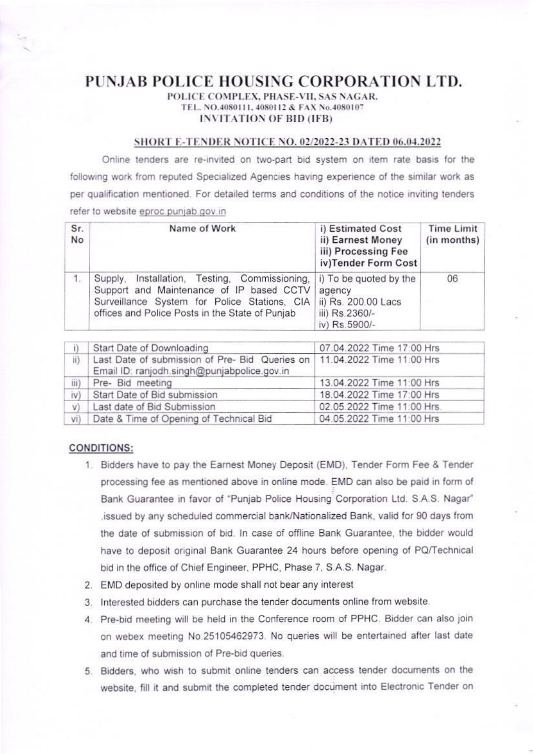## PUNJAB POLICE HOUSING CORPORATION LTD.

## POLICE COMPLEX, PHASE-VII, SAS NAGAR. TEL. NO.4080111, 4080112 & FAX No.4080107 **INVITATION OF BID (IFB)**

## SHORT E-TENDER NOTICE NO. 02/2022-23 DATED 06.04.2022

Online tenders are re-invited on two-part bid system on item rate basis for the following work from reputed Specialized Agencies having experience of the similar work as per qualification mentioned. For detailed terms and conditions of the notice inviting tenders refer to website eproc.punjab.gov.in

| Sr.<br>No | Name of Work                                                                                                                                                                                    | i) Estimated Cost<br>ii) Earnest Money<br>iii) Processing Fee<br>iv)Tender Form Cost       | Time Limit<br>(in months) |
|-----------|-------------------------------------------------------------------------------------------------------------------------------------------------------------------------------------------------|--------------------------------------------------------------------------------------------|---------------------------|
|           | Installation, Testing, Commissioning,<br>Supply,<br>Support and Maintenance of IP based CCTV<br>Surveillance System for Police Stations, CIA<br>offices and Police Posts in the State of Punjab | i) To be quoted by the<br>agency<br>ii) Rs. 200.00 Lacs<br>iii) Rs.2360/-<br>iv) Rs.5900/- | 06                        |

|      | Start Date of Downloading                                                                                                 | 07.04.2022 Time 17:00 Hrs  |
|------|---------------------------------------------------------------------------------------------------------------------------|----------------------------|
| ii)  | Last Date of submission of Pre- Bid Queries on   11.04.2022 Time 11:00 Hrs<br>Email ID: ranjodh.singh@punjabpolice.gov.in |                            |
| iii) | Pre- Bid meeting                                                                                                          | 13.04.2022 Time 11:00 Hrs  |
| iv)  | Start Date of Bid submission                                                                                              | 18.04.2022 Time 17:00 Hrs  |
| V)   | Last date of Bid Submission                                                                                               | 02.05.2022 Time 11:00 Hrs. |
| Vi)  | Date & Time of Opening of Technical Bid                                                                                   | 04.05.2022 Time 11:00 Hrs  |

## **CONDITIONS:**

- 1. Bidders have to pay the Earnest Money Deposit (EMD), Tender Form Fee & Tender processing fee as mentioned above in online mode. EMD can also be paid in form of Bank Guarantee in favor of "Punjab Police Housing Corporation Ltd. S.A.S. Nagar" issued by any scheduled commercial bank/Nationalized Bank, valid for 90 days from the date of submission of bid. In case of offline Bank Guarantee, the bidder would have to deposit original Bank Guarantee 24 hours before opening of PQ/Technical bid in the office of Chief Engineer, PPHC, Phase 7, S.A.S. Nagar.
- 2. EMD deposited by online mode shall not bear any interest
- 3. Interested bidders can purchase the tender documents online from website.
- 4. Pre-bid meeting will be held in the Conference room of PPHC. Bidder can also join on webex meeting No.25105462973. No queries will be entertained after last date and time of submission of Pre-bid queries.
- 5. Bidders, who wish to submit online tenders can access tender documents on the website, fill it and submit the completed tender document into Electronic Tender on